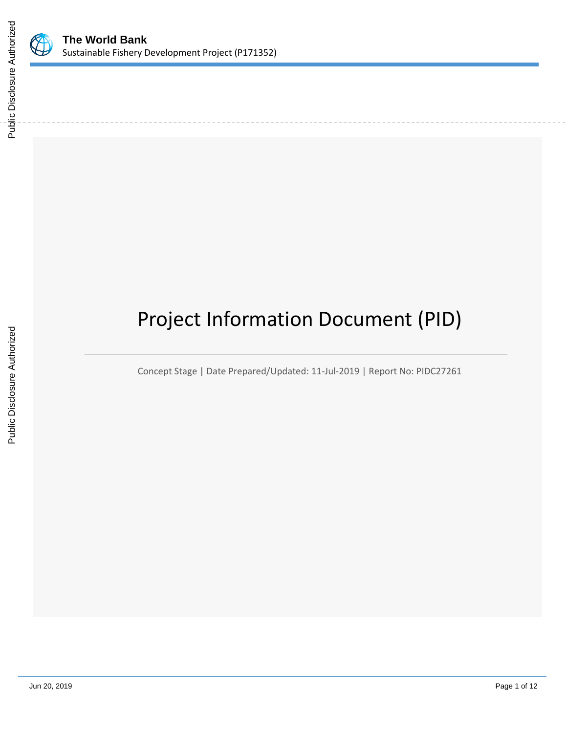

# Project Information Document (PID)

Concept Stage | Date Prepared/Updated: 11-Jul-2019 | Report No: PIDC27261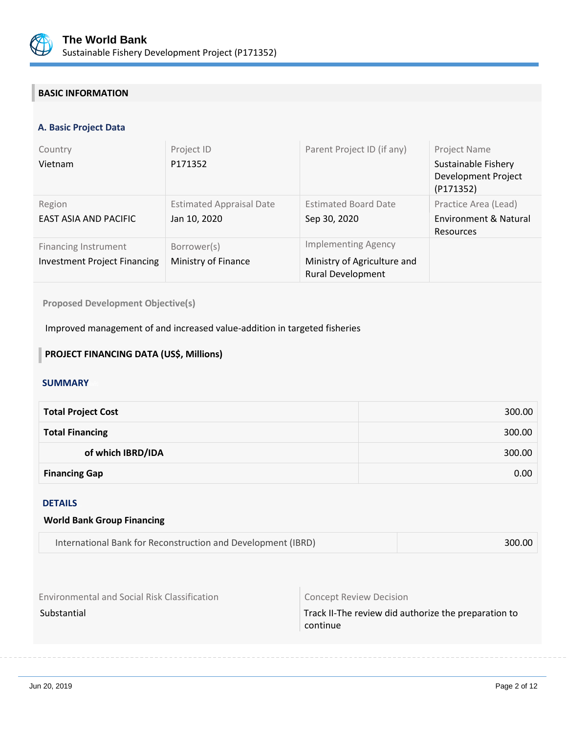

## **BASIC INFORMATION**

#### **A. Basic Project Data**

| Country<br>Vietnam                                                 | Project ID<br>P171352                           | Parent Project ID (if any)                                                            | <b>Project Name</b><br>Sustainable Fishery<br>Development Project<br>(P171352) |
|--------------------------------------------------------------------|-------------------------------------------------|---------------------------------------------------------------------------------------|--------------------------------------------------------------------------------|
| Region<br>EAST ASIA AND PACIFIC                                    | <b>Estimated Appraisal Date</b><br>Jan 10, 2020 | <b>Estimated Board Date</b><br>Sep 30, 2020                                           | Practice Area (Lead)<br>Environment & Natural<br>Resources                     |
| <b>Financing Instrument</b><br><b>Investment Project Financing</b> | Borrower(s)<br>Ministry of Finance              | <b>Implementing Agency</b><br>Ministry of Agriculture and<br><b>Rural Development</b> |                                                                                |

**Proposed Development Objective(s)** 

Improved management of and increased value-addition in targeted fisheries

## **PROJECT FINANCING DATA (US\$, Millions)**

#### **SUMMARY**

| <b>Total Project Cost</b> | 300.00 |
|---------------------------|--------|
| <b>Total Financing</b>    | 300.00 |
| of which IBRD/IDA         | 300.00 |
| <b>Financing Gap</b>      | 0.00   |

#### DETAILS

#### **World Bank Group Financing**

Environmental and Social Risk Classification **Concept Review Decision** 

Substantial Substantial Track II-The review did authorize the preparation to continue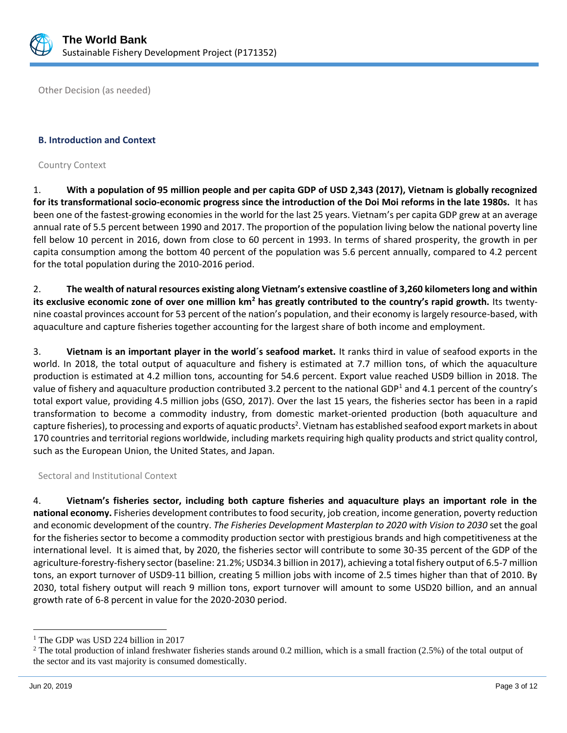

Other Decision (as needed)

#### **B. Introduction and Context**

Country Context

1. **With a population of 95 million people and per capita GDP of USD 2,343 (2017), Vietnam is globally recognized for its transformational socio-economic progress since the introduction of the Doi Moi reforms in the late 1980s.** It has been one of the fastest-growing economies in the world for the last 25 years. Vietnam's per capita GDP grew at an average annual rate of 5.5 percent between 1990 and 2017. The proportion of the population living below the national poverty line fell below 10 percent in 2016, down from close to 60 percent in 1993. In terms of shared prosperity, the growth in per capita consumption among the bottom 40 percent of the population was 5.6 percent annually, compared to 4.2 percent for the total population during the 2010-2016 period.

2. **The wealth of natural resources existing along Vietnam's extensive coastline of 3,260 kilometers long and within its exclusive economic zone of over one million km<sup>2</sup> has greatly contributed to the country's rapid growth.** Its twentynine coastal provinces account for 53 percent of the nation's population, and their economy is largely resource-based, with aquaculture and capture fisheries together accounting for the largest share of both income and employment.

3. **Vietnam is an important player in the world´s seafood market.** It ranks third in value of seafood exports in the world. In 2018, the total output of aquaculture and fishery is estimated at 7.7 million tons, of which the aquaculture production is estimated at 4.2 million tons, accounting for 54.6 percent. Export value reached USD9 billion in 2018. The value of fishery and aquaculture production contributed 3.2 percent to the national GDP<sup>1</sup> and 4.1 percent of the country's total export value, providing 4.5 million jobs (GSO, 2017). Over the last 15 years, the fisheries sector has been in a rapid transformation to become a commodity industry, from domestic market-oriented production (both aquaculture and capture fisheries), to processing and exports of aquatic products<sup>2</sup>. Vietnam has established seafood export markets in about 170 countries and territorial regions worldwide, including markets requiring high quality products and strict quality control, such as the European Union, the United States, and Japan.

Sectoral and Institutional Context

4. **Vietnam's fisheries sector, including both capture fisheries and aquaculture plays an important role in the national economy.** Fisheries development contributes to food security, job creation, income generation, poverty reduction and economic development of the country. *The Fisheries Development Masterplan to 2020 with Vision to 2030* set the goal for the fisheries sector to become a commodity production sector with prestigious brands and high competitiveness at the international level. It is aimed that, by 2020, the fisheries sector will contribute to some 30-35 percent of the GDP of the agriculture-forestry-fishery sector (baseline: 21.2%; USD34.3 billion in 2017), achieving a total fishery output of 6.5-7 million tons, an export turnover of USD9-11 billion, creating 5 million jobs with income of 2.5 times higher than that of 2010. By 2030, total fishery output will reach 9 million tons, export turnover will amount to some USD20 billion, and an annual growth rate of 6-8 percent in value for the 2020-2030 period.

 $\overline{a}$ 

<sup>&</sup>lt;sup>1</sup> The GDP was USD 224 billion in 2017

<sup>&</sup>lt;sup>2</sup> The total production of inland freshwater fisheries stands around 0.2 million, which is a small fraction  $(2.5%)$  of the total output of the sector and its vast majority is consumed domestically.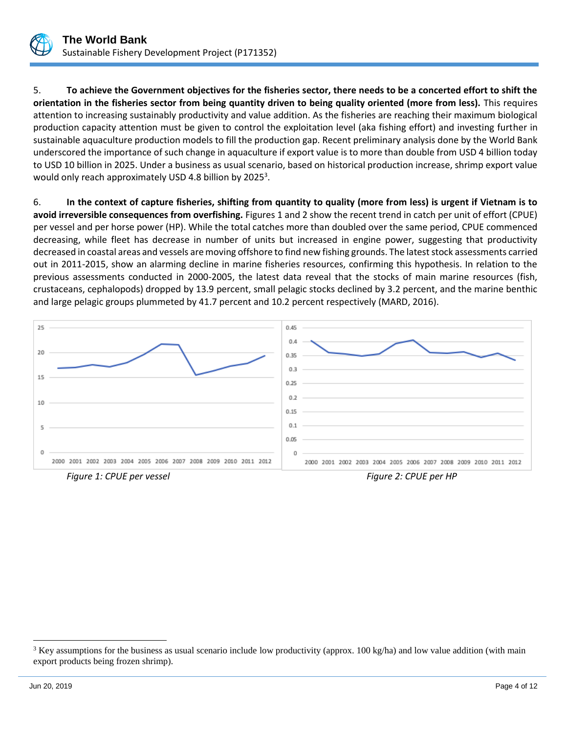

5. **To achieve the Government objectives for the fisheries sector, there needs to be a concerted effort to shift the orientation in the fisheries sector from being quantity driven to being quality oriented (more from less).** This requires attention to increasing sustainably productivity and value addition. As the fisheries are reaching their maximum biological production capacity attention must be given to control the exploitation level (aka fishing effort) and investing further in sustainable aquaculture production models to fill the production gap. Recent preliminary analysis done by the World Bank underscored the importance of such change in aquaculture if export value is to more than double from USD 4 billion today to USD 10 billion in 2025. Under a business as usual scenario, based on historical production increase, shrimp export value would only reach approximately USD 4.8 billion by 2025<sup>3</sup>.

6. **In the context of capture fisheries, shifting from quantity to quality (more from less) is urgent if Vietnam is to avoid irreversible consequences from overfishing.** Figures 1 and 2 show the recent trend in catch per unit of effort (CPUE) per vessel and per horse power (HP). While the total catches more than doubled over the same period, CPUE commenced decreasing, while fleet has decrease in number of units but increased in engine power, suggesting that productivity decreased in coastal areas and vessels are moving offshore to find new fishing grounds. The latest stock assessments carried out in 2011-2015, show an alarming decline in marine fisheries resources, confirming this hypothesis. In relation to the previous assessments conducted in 2000-2005, the latest data reveal that the stocks of main marine resources (fish, crustaceans, cephalopods) dropped by 13.9 percent, small pelagic stocks declined by 3.2 percent, and the marine benthic and large pelagic groups plummeted by 41.7 percent and 10.2 percent respectively (MARD, 2016).



 $\overline{a}$ 

 $3$  Key assumptions for the business as usual scenario include low productivity (approx. 100 kg/ha) and low value addition (with main export products being frozen shrimp).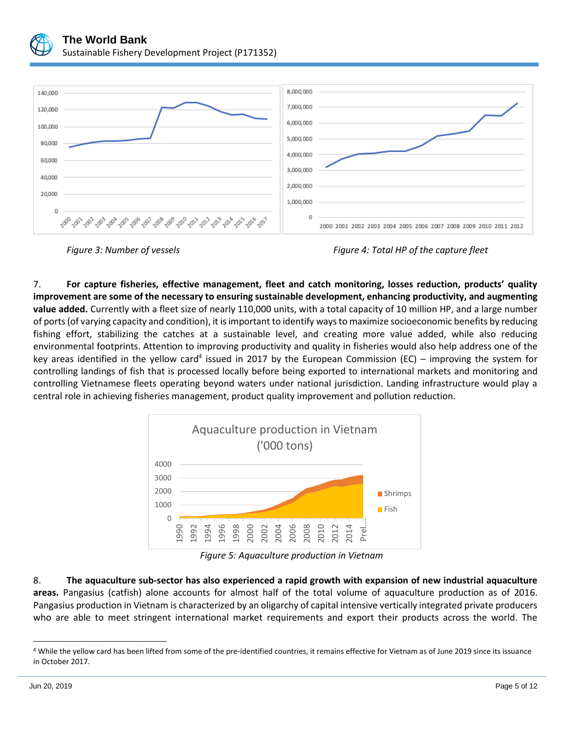

7. **For capture fisheries, effective management, fleet and catch monitoring, losses reduction, products' quality improvement are some of the necessary to ensuring sustainable development, enhancing productivity, and augmenting value added.** Currently with a fleet size of nearly 110,000 units, with a total capacity of 10 million HP, and a large number of ports (of varying capacity and condition), it is important to identify ways to maximize socioeconomic benefits by reducing fishing effort, stabilizing the catches at a sustainable level, and creating more value added, while also reducing environmental footprints. Attention to improving productivity and quality in fisheries would also help address one of the key areas identified in the yellow card<sup>4</sup> issued in 2017 by the European Commission (EC) – improving the system for controlling landings of fish that is processed locally before being exported to international markets and monitoring and controlling Vietnamese fleets operating beyond waters under national jurisdiction. Landing infrastructure would play a central role in achieving fisheries management, product quality improvement and pollution reduction.



*Figure 5: Aquaculture production in Vietnam*

8. **The aquaculture sub-sector has also experienced a rapid growth with expansion of new industrial aquaculture areas.** Pangasius (catfish) alone accounts for almost half of the total volume of aquaculture production as of 2016. Pangasius production in Vietnam is characterized by an oligarchy of capital intensive vertically integrated private producers who are able to meet stringent international market requirements and export their products across the world. The

 $\overline{a}$ 

*Figure 3: Number of vessels Figure 4: Total HP of the capture fleet*

<sup>4</sup> While the yellow card has been lifted from some of the pre-identified countries, it remains effective for Vietnam as of June 2019 since its issuance in October 2017.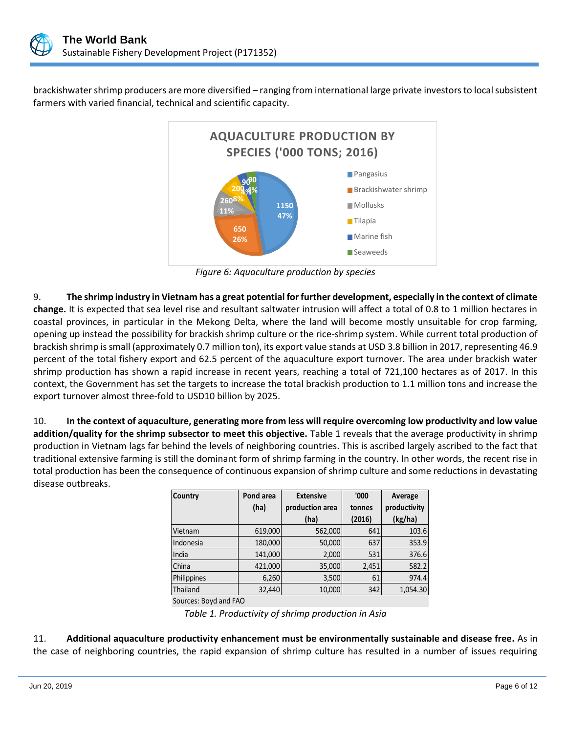

brackishwater shrimp producers are more diversified – ranging from international large private investors to local subsistent farmers with varied financial, technical and scientific capacity.



*Figure 6: Aquaculture production by species*

9. **The shrimp industry in Vietnam has a great potential for further development, especially in the context of climate change.** It is expected that sea level rise and resultant saltwater intrusion will affect a total of 0.8 to 1 million hectares in coastal provinces, in particular in the Mekong Delta, where the land will become mostly unsuitable for crop farming, opening up instead the possibility for brackish shrimp culture or the rice-shrimp system. While current total production of brackish shrimp is small (approximately 0.7 million ton), its export value stands at USD 3.8 billion in 2017, representing 46.9 percent of the total fishery export and 62.5 percent of the aquaculture export turnover. The area under brackish water shrimp production has shown a rapid increase in recent years, reaching a total of 721,100 hectares as of 2017. In this context, the Government has set the targets to increase the total brackish production to 1.1 million tons and increase the export turnover almost three-fold to USD10 billion by 2025.

10. **In the context of aquaculture, generating more from less will require overcoming low productivity and low value addition/quality for the shrimp subsector to meet this objective.** Table 1 reveals that the average productivity in shrimp production in Vietnam lags far behind the levels of neighboring countries. This is ascribed largely ascribed to the fact that traditional extensive farming is still the dominant form of shrimp farming in the country. In other words, the recent rise in total production has been the consequence of continuous expansion of shrimp culture and some reductions in devastating disease outbreaks.

| <b>Country</b> | Pond area | <b>Extensive</b> | '000   | Average      |
|----------------|-----------|------------------|--------|--------------|
|                | (ha)      | production area  | tonnes | productivity |
|                |           | (ha)             | (2016) | (kg/ha)      |
| Vietnam        | 619,000   | 562,000          | 641    | 103.6        |
| Indonesia      | 180,000   | 50,000           | 637    | 353.9        |
| India          | 141,000   | 2,000            | 531    | 376.6        |
| China          | 421,000   | 35,000           | 2,451  | 582.2        |
| Philippines    | 6,260     | 3,500            | 61     | 974.4        |
| Thailand       | 32,440    | 10,000           | 342    | 1,054.30     |

Sources: Boyd and FAO

*Table 1. Productivity of shrimp production in Asia*

11. **Additional aquaculture productivity enhancement must be environmentally sustainable and disease free.** As in the case of neighboring countries, the rapid expansion of shrimp culture has resulted in a number of issues requiring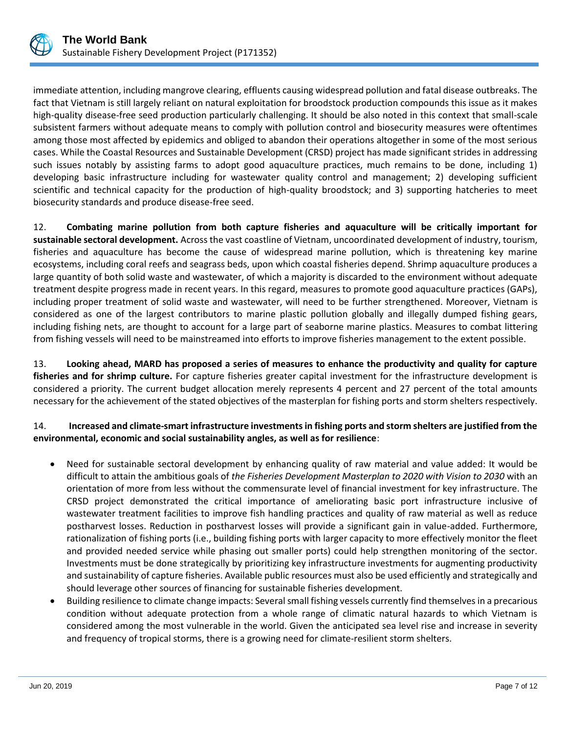

immediate attention, including mangrove clearing, effluents causing widespread pollution and fatal disease outbreaks. The fact that Vietnam is still largely reliant on natural exploitation for broodstock production compounds this issue as it makes high-quality disease-free seed production particularly challenging. It should be also noted in this context that small-scale subsistent farmers without adequate means to comply with pollution control and biosecurity measures were oftentimes among those most affected by epidemics and obliged to abandon their operations altogether in some of the most serious cases. While the Coastal Resources and Sustainable Development (CRSD) project has made significant strides in addressing such issues notably by assisting farms to adopt good aquaculture practices, much remains to be done, including 1) developing basic infrastructure including for wastewater quality control and management; 2) developing sufficient scientific and technical capacity for the production of high-quality broodstock; and 3) supporting hatcheries to meet biosecurity standards and produce disease-free seed.

12. **Combating marine pollution from both capture fisheries and aquaculture will be critically important for sustainable sectoral development.** Across the vast coastline of Vietnam, uncoordinated development of industry, tourism, fisheries and aquaculture has become the cause of widespread marine pollution, which is threatening key marine ecosystems, including coral reefs and seagrass beds, upon which coastal fisheries depend. Shrimp aquaculture produces a large quantity of both solid waste and wastewater, of which a majority is discarded to the environment without adequate treatment despite progress made in recent years. In this regard, measures to promote good aquaculture practices (GAPs), including proper treatment of solid waste and wastewater, will need to be further strengthened. Moreover, Vietnam is considered as one of the largest contributors to marine plastic pollution globally and illegally dumped fishing gears, including fishing nets, are thought to account for a large part of seaborne marine plastics. Measures to combat littering from fishing vessels will need to be mainstreamed into efforts to improve fisheries management to the extent possible.

13. **Looking ahead, MARD has proposed a series of measures to enhance the productivity and quality for capture fisheries and for shrimp culture.** For capture fisheries greater capital investment for the infrastructure development is considered a priority. The current budget allocation merely represents 4 percent and 27 percent of the total amounts necessary for the achievement of the stated objectives of the masterplan for fishing ports and storm shelters respectively.

## 14. **Increased and climate-smart infrastructure investments in fishing ports and storm shelters are justified from the environmental, economic and social sustainability angles, as well as for resilience**:

- Need for sustainable sectoral development by enhancing quality of raw material and value added: It would be difficult to attain the ambitious goals of *the Fisheries Development Masterplan to 2020 with Vision to 2030* with an orientation of more from less without the commensurate level of financial investment for key infrastructure. The CRSD project demonstrated the critical importance of ameliorating basic port infrastructure inclusive of wastewater treatment facilities to improve fish handling practices and quality of raw material as well as reduce postharvest losses. Reduction in postharvest losses will provide a significant gain in value-added. Furthermore, rationalization of fishing ports (i.e., building fishing ports with larger capacity to more effectively monitor the fleet and provided needed service while phasing out smaller ports) could help strengthen monitoring of the sector. Investments must be done strategically by prioritizing key infrastructure investments for augmenting productivity and sustainability of capture fisheries. Available public resources must also be used efficiently and strategically and should leverage other sources of financing for sustainable fisheries development.
- Building resilience to climate change impacts: Several small fishing vessels currently find themselves in a precarious condition without adequate protection from a whole range of climatic natural hazards to which Vietnam is considered among the most vulnerable in the world. Given the anticipated sea level rise and increase in severity and frequency of tropical storms, there is a growing need for climate-resilient storm shelters.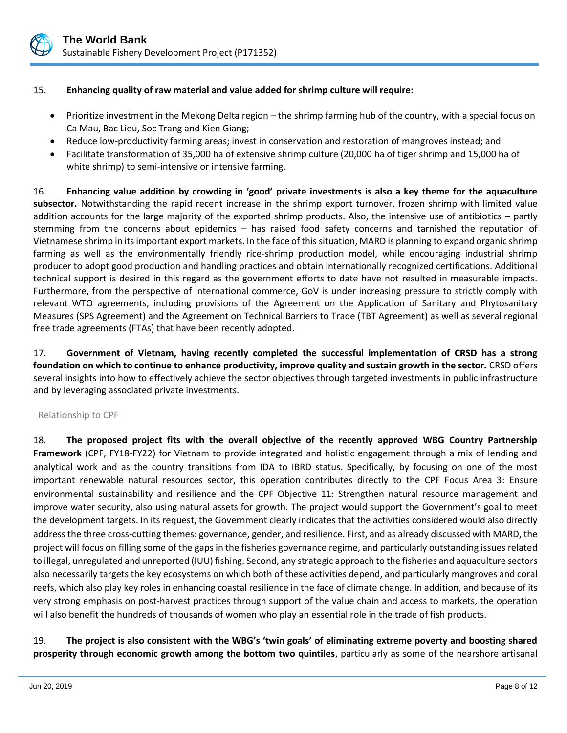

### 15. **Enhancing quality of raw material and value added for shrimp culture will require:**

- Prioritize investment in the Mekong Delta region the shrimp farming hub of the country, with a special focus on Ca Mau, Bac Lieu, Soc Trang and Kien Giang;
- Reduce low-productivity farming areas; invest in conservation and restoration of mangroves instead; and
- Facilitate transformation of 35,000 ha of extensive shrimp culture (20,000 ha of tiger shrimp and 15,000 ha of white shrimp) to semi-intensive or intensive farming.

16. **Enhancing value addition by crowding in 'good' private investments is also a key theme for the aquaculture subsector.** Notwithstanding the rapid recent increase in the shrimp export turnover, frozen shrimp with limited value addition accounts for the large majority of the exported shrimp products. Also, the intensive use of antibiotics – partly stemming from the concerns about epidemics – has raised food safety concerns and tarnished the reputation of Vietnamese shrimp in its important export markets. In the face of this situation, MARD is planning to expand organic shrimp farming as well as the environmentally friendly rice-shrimp production model, while encouraging industrial shrimp producer to adopt good production and handling practices and obtain internationally recognized certifications. Additional technical support is desired in this regard as the government efforts to date have not resulted in measurable impacts. Furthermore, from the perspective of international commerce, GoV is under increasing pressure to strictly comply with relevant WTO agreements, including provisions of the Agreement on the Application of Sanitary and Phytosanitary Measures (SPS Agreement) and the Agreement on Technical Barriers to Trade (TBT Agreement) as well as several regional free trade agreements (FTAs) that have been recently adopted.

17. **Government of Vietnam, having recently completed the successful implementation of CRSD has a strong foundation on which to continue to enhance productivity, improve quality and sustain growth in the sector.** CRSD offers several insights into how to effectively achieve the sector objectives through targeted investments in public infrastructure and by leveraging associated private investments.

#### Relationship to CPF

18. **The proposed project fits with the overall objective of the recently approved WBG Country Partnership Framework** (CPF, FY18-FY22) for Vietnam to provide integrated and holistic engagement through a mix of lending and analytical work and as the country transitions from IDA to IBRD status. Specifically, by focusing on one of the most important renewable natural resources sector, this operation contributes directly to the CPF Focus Area 3: Ensure environmental sustainability and resilience and the CPF Objective 11: Strengthen natural resource management and improve water security, also using natural assets for growth. The project would support the Government's goal to meet the development targets. In its request, the Government clearly indicates that the activities considered would also directly address the three cross-cutting themes: governance, gender, and resilience. First, and as already discussed with MARD, the project will focus on filling some of the gaps in the fisheries governance regime, and particularly outstanding issues related to illegal, unregulated and unreported (IUU) fishing. Second, any strategic approach to the fisheries and aquaculture sectors also necessarily targets the key ecosystems on which both of these activities depend, and particularly mangroves and coral reefs, which also play key roles in enhancing coastal resilience in the face of climate change. In addition, and because of its very strong emphasis on post-harvest practices through support of the value chain and access to markets, the operation will also benefit the hundreds of thousands of women who play an essential role in the trade of fish products.

19. **The project is also consistent with the WBG's 'twin goals' of eliminating extreme poverty and boosting shared prosperity through economic growth among the bottom two quintiles**, particularly as some of the nearshore artisanal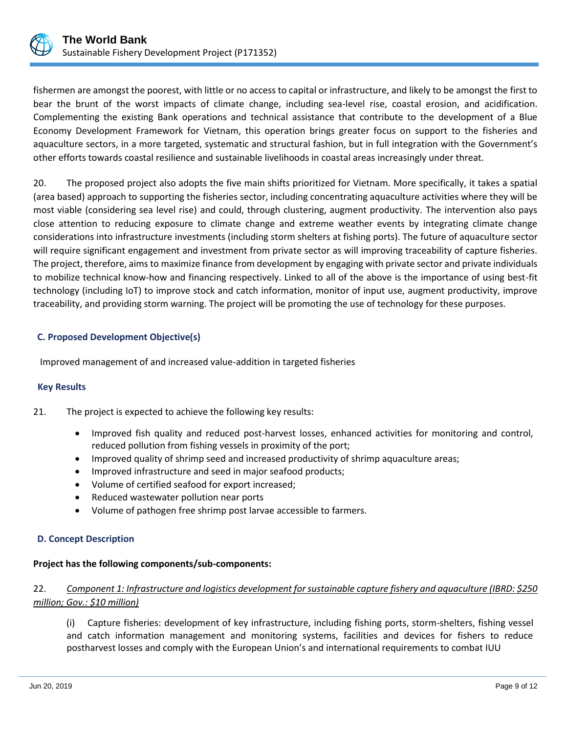

fishermen are amongst the poorest, with little or no access to capital or infrastructure, and likely to be amongst the first to bear the brunt of the worst impacts of climate change, including sea-level rise, coastal erosion, and acidification. Complementing the existing Bank operations and technical assistance that contribute to the development of a Blue Economy Development Framework for Vietnam, this operation brings greater focus on support to the fisheries and aquaculture sectors, in a more targeted, systematic and structural fashion, but in full integration with the Government's other efforts towards coastal resilience and sustainable livelihoods in coastal areas increasingly under threat.

20. The proposed project also adopts the five main shifts prioritized for Vietnam. More specifically, it takes a spatial (area based) approach to supporting the fisheries sector, including concentrating aquaculture activities where they will be most viable (considering sea level rise) and could, through clustering, augment productivity. The intervention also pays close attention to reducing exposure to climate change and extreme weather events by integrating climate change considerations into infrastructure investments (including storm shelters at fishing ports). The future of aquaculture sector will require significant engagement and investment from private sector as will improving traceability of capture fisheries. The project, therefore, aims to maximize finance from development by engaging with private sector and private individuals to mobilize technical know-how and financing respectively. Linked to all of the above is the importance of using best-fit technology (including IoT) to improve stock and catch information, monitor of input use, augment productivity, improve traceability, and providing storm warning. The project will be promoting the use of technology for these purposes.

## **C. Proposed Development Objective(s)**

Improved management of and increased value-addition in targeted fisheries

#### **Key Results**

21. The project is expected to achieve the following key results:

- Improved fish quality and reduced post-harvest losses, enhanced activities for monitoring and control, reduced pollution from fishing vessels in proximity of the port;
- Improved quality of shrimp seed and increased productivity of shrimp aquaculture areas;
- Improved infrastructure and seed in major seafood products;
- Volume of certified seafood for export increased;
- Reduced wastewater pollution near ports
- Volume of pathogen free shrimp post larvae accessible to farmers.

#### **D. Concept Description**

#### **Project has the following components/sub-components:**

## 22. *Component 1: Infrastructure and logistics development for sustainable capture fishery and aquaculture (IBRD: \$250 million; Gov.: \$10 million)*

(i) Capture fisheries: development of key infrastructure, including fishing ports, storm-shelters, fishing vessel and catch information management and monitoring systems, facilities and devices for fishers to reduce postharvest losses and comply with the European Union's and international requirements to combat IUU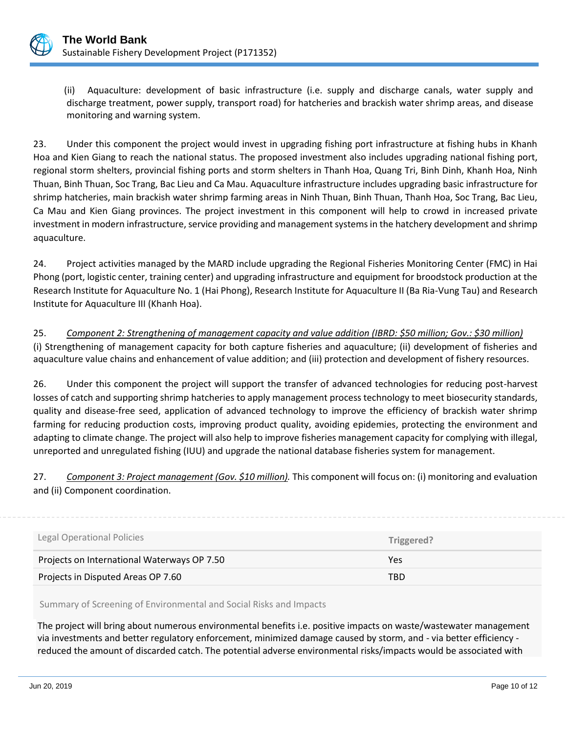

(ii) Aquaculture: development of basic infrastructure (i.e. supply and discharge canals, water supply and discharge treatment, power supply, transport road) for hatcheries and brackish water shrimp areas, and disease monitoring and warning system.

23. Under this component the project would invest in upgrading fishing port infrastructure at fishing hubs in Khanh Hoa and Kien Giang to reach the national status. The proposed investment also includes upgrading national fishing port, regional storm shelters, provincial fishing ports and storm shelters in Thanh Hoa, Quang Tri, Binh Dinh, Khanh Hoa, Ninh Thuan, Binh Thuan, Soc Trang, Bac Lieu and Ca Mau. Aquaculture infrastructure includes upgrading basic infrastructure for shrimp hatcheries, main brackish water shrimp farming areas in Ninh Thuan, Binh Thuan, Thanh Hoa, Soc Trang, Bac Lieu, Ca Mau and Kien Giang provinces. The project investment in this component will help to crowd in increased private investment in modern infrastructure, service providing and management systems in the hatchery development and shrimp aquaculture.

24. Project activities managed by the MARD include upgrading the Regional Fisheries Monitoring Center (FMC) in Hai Phong (port, logistic center, training center) and upgrading infrastructure and equipment for broodstock production at the Research Institute for Aquaculture No. 1 (Hai Phong), Research Institute for Aquaculture II (Ba Ria-Vung Tau) and Research Institute for Aquaculture III (Khanh Hoa).

25. *Component 2: Strengthening of management capacity and value addition (IBRD: \$50 million; Gov.: \$30 million)* (i) Strengthening of management capacity for both capture fisheries and aquaculture; (ii) development of fisheries and aquaculture value chains and enhancement of value addition; and (iii) protection and development of fishery resources.

26. Under this component the project will support the transfer of advanced technologies for reducing post-harvest losses of catch and supporting shrimp hatcheries to apply management process technology to meet biosecurity standards, quality and disease-free seed, application of advanced technology to improve the efficiency of brackish water shrimp farming for reducing production costs, improving product quality, avoiding epidemies, protecting the environment and adapting to climate change. The project will also help to improve fisheries management capacity for complying with illegal, unreported and unregulated fishing (IUU) and upgrade the national database fisheries system for management.

27. *Component 3: Project management (Gov. \$10 million).* This component will focus on: (i) monitoring and evaluation and (ii) Component coordination.

| Legal Operational Policies                  | Triggered? |
|---------------------------------------------|------------|
| Projects on International Waterways OP 7.50 | Yes        |
| Projects in Disputed Areas OP 7.60          | TBD        |

Summary of Screening of Environmental and Social Risks and Impacts

The project will bring about numerous environmental benefits i.e. positive impacts on waste/wastewater management via investments and better regulatory enforcement, minimized damage caused by storm, and - via better efficiency reduced the amount of discarded catch. The potential adverse environmental risks/impacts would be associated with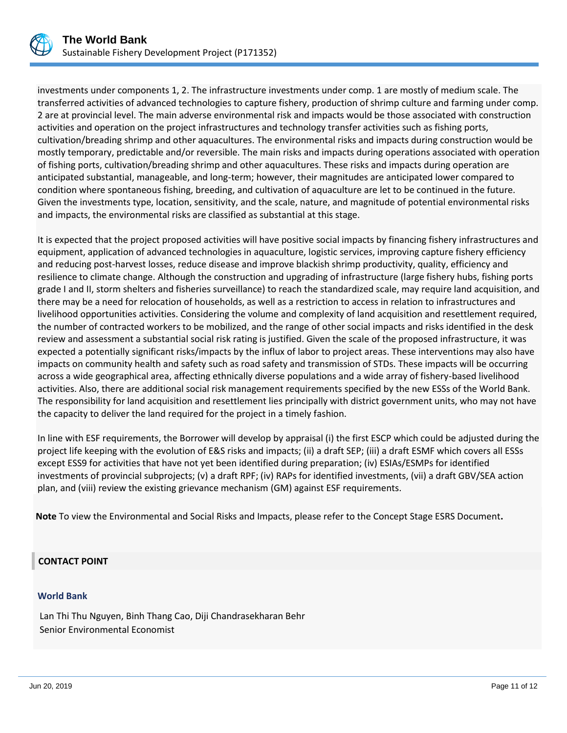

investments under components 1, 2. The infrastructure investments under comp. 1 are mostly of medium scale. The transferred activities of advanced technologies to capture fishery, production of shrimp culture and farming under comp. 2 are at provincial level. The main adverse environmental risk and impacts would be those associated with construction activities and operation on the project infrastructures and technology transfer activities such as fishing ports, cultivation/breading shrimp and other aquacultures. The environmental risks and impacts during construction would be mostly temporary, predictable and/or reversible. The main risks and impacts during operations associated with operation of fishing ports, cultivation/breading shrimp and other aquacultures. These risks and impacts during operation are anticipated substantial, manageable, and long-term; however, their magnitudes are anticipated lower compared to condition where spontaneous fishing, breeding, and cultivation of aquaculture are let to be continued in the future. Given the investments type, location, sensitivity, and the scale, nature, and magnitude of potential environmental risks and impacts, the environmental risks are classified as substantial at this stage.

It is expected that the project proposed activities will have positive social impacts by financing fishery infrastructures and equipment, application of advanced technologies in aquaculture, logistic services, improving capture fishery efficiency and reducing post-harvest losses, reduce disease and improve blackish shrimp productivity, quality, efficiency and resilience to climate change. Although the construction and upgrading of infrastructure (large fishery hubs, fishing ports grade I and II, storm shelters and fisheries surveillance) to reach the standardized scale, may require land acquisition, and there may be a need for relocation of households, as well as a restriction to access in relation to infrastructures and livelihood opportunities activities. Considering the volume and complexity of land acquisition and resettlement required, the number of contracted workers to be mobilized, and the range of other social impacts and risks identified in the desk review and assessment a substantial social risk rating is justified. Given the scale of the proposed infrastructure, it was expected a potentially significant risks/impacts by the influx of labor to project areas. These interventions may also have impacts on community health and safety such as road safety and transmission of STDs. These impacts will be occurring across a wide geographical area, affecting ethnically diverse populations and a wide array of fishery-based livelihood activities. Also, there are additional social risk management requirements specified by the new ESSs of the World Bank. The responsibility for land acquisition and resettlement lies principally with district government units, who may not have the capacity to deliver the land required for the project in a timely fashion.

In line with ESF requirements, the Borrower will develop by appraisal (i) the first ESCP which could be adjusted during the project life keeping with the evolution of E&S risks and impacts; (ii) a draft SEP; (iii) a draft ESMF which covers all ESSs except ESS9 for activities that have not yet been identified during preparation; (iv) ESIAs/ESMPs for identified investments of provincial subprojects; (v) a draft RPF; (iv) RAPs for identified investments, (vii) a draft GBV/SEA action plan, and (viii) review the existing grievance mechanism (GM) against ESF requirements.

**Note** To view the Environmental and Social Risks and Impacts, please refer to the Concept Stage ESRS Document**.**

#### **CONTACT POINT**

#### **World Bank**

Lan Thi Thu Nguyen, Binh Thang Cao, Diji Chandrasekharan Behr Senior Environmental Economist